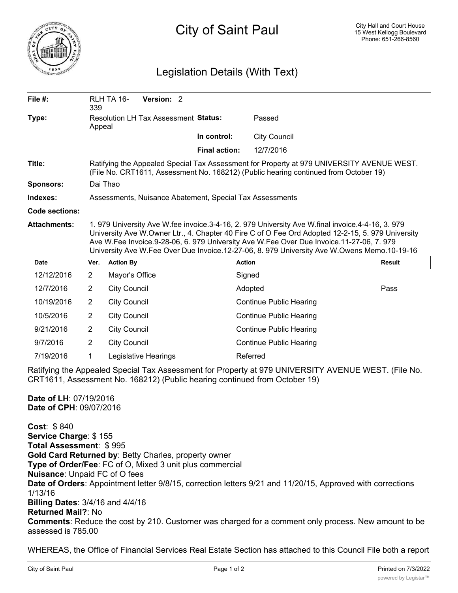

## City of Saint Paul

## Legislation Details (With Text)

| File #:               | 339                                                                                                                                                                                                                                                                                                                                                                                              | RLH TA 16-                                            | Version: 2 |  |                      |                     |               |
|-----------------------|--------------------------------------------------------------------------------------------------------------------------------------------------------------------------------------------------------------------------------------------------------------------------------------------------------------------------------------------------------------------------------------------------|-------------------------------------------------------|------------|--|----------------------|---------------------|---------------|
| Type:                 | <b>Resolution LH Tax Assessment Status:</b><br>Appeal                                                                                                                                                                                                                                                                                                                                            |                                                       |            |  |                      | Passed              |               |
|                       |                                                                                                                                                                                                                                                                                                                                                                                                  |                                                       |            |  | In control:          | <b>City Council</b> |               |
|                       |                                                                                                                                                                                                                                                                                                                                                                                                  |                                                       |            |  | <b>Final action:</b> | 12/7/2016           |               |
| Title:                | Ratifying the Appealed Special Tax Assessment for Property at 979 UNIVERSITY AVENUE WEST.<br>(File No. CRT1611, Assessment No. 168212) (Public hearing continued from October 19)                                                                                                                                                                                                                |                                                       |            |  |                      |                     |               |
| Sponsors:             | Dai Thao                                                                                                                                                                                                                                                                                                                                                                                         |                                                       |            |  |                      |                     |               |
| Indexes:              | Assessments, Nuisance Abatement, Special Tax Assessments                                                                                                                                                                                                                                                                                                                                         |                                                       |            |  |                      |                     |               |
| <b>Code sections:</b> |                                                                                                                                                                                                                                                                                                                                                                                                  |                                                       |            |  |                      |                     |               |
| <b>Attachments:</b>   | 1. 979 University Ave W.fee invoice.3-4-16, 2. 979 University Ave W.final invoice.4-4-16, 3. 979<br>University Ave W.Owner Ltr., 4. Chapter 40 Fire C of O Fee Ord Adopted 12-2-15, 5. 979 University<br>Ave W.Fee Invoice.9-28-06, 6. 979 University Ave W.Fee Over Due Invoice.11-27-06, 7. 979<br>University Ave W.Fee Over Due Invoice.12-27-06, 8. 979 University Ave W.Owens Memo.10-19-16 |                                                       |            |  |                      |                     |               |
| <b>Date</b>           | Ver.                                                                                                                                                                                                                                                                                                                                                                                             | <b>Action By</b>                                      |            |  |                      | <b>Action</b>       | <b>Result</b> |
| 12/12/2016            | $\overline{2}$                                                                                                                                                                                                                                                                                                                                                                                   | Mayor's Office                                        |            |  |                      | Signed              |               |
| 12/7/2016             | 2                                                                                                                                                                                                                                                                                                                                                                                                | <b>City Council</b>                                   |            |  |                      | Adopted             | Pass          |
| 10/19/2016            | $\overline{2}$                                                                                                                                                                                                                                                                                                                                                                                   | <b>City Council</b><br>Continue Public Hearing        |            |  |                      |                     |               |
| 10/5/2016             | $\overline{2}$                                                                                                                                                                                                                                                                                                                                                                                   | <b>City Council</b><br><b>Continue Public Hearing</b> |            |  |                      |                     |               |
| 9/21/2016             | $\overline{2}$                                                                                                                                                                                                                                                                                                                                                                                   | <b>City Council</b><br><b>Continue Public Hearing</b> |            |  |                      |                     |               |
| 9/7/2016              | $\overline{2}$                                                                                                                                                                                                                                                                                                                                                                                   | <b>City Council</b><br><b>Continue Public Hearing</b> |            |  |                      |                     |               |
| 7/19/2016             | 1                                                                                                                                                                                                                                                                                                                                                                                                | Referred<br>Legislative Hearings                      |            |  |                      |                     |               |

Ratifying the Appealed Special Tax Assessment for Property at 979 UNIVERSITY AVENUE WEST. (File No. CRT1611, Assessment No. 168212) (Public hearing continued from October 19)

**Date of LH**: 07/19/2016 **Date of CPH**: 09/07/2016

**Cost**: \$ 840 **Service Charge**: \$ 155 **Total Assessment**: \$ 995 **Gold Card Returned by**: Betty Charles, property owner **Type of Order/Fee**: FC of O, Mixed 3 unit plus commercial **Nuisance**: Unpaid FC of O fees **Date of Orders**: Appointment letter 9/8/15, correction letters 9/21 and 11/20/15, Approved with corrections 1/13/16 **Billing Dates**: 3/4/16 and 4/4/16 **Returned Mail?**: No **Comments**: Reduce the cost by 210. Customer was charged for a comment only process. New amount to be assessed is 785.00

WHEREAS, the Office of Financial Services Real Estate Section has attached to this Council File both a report